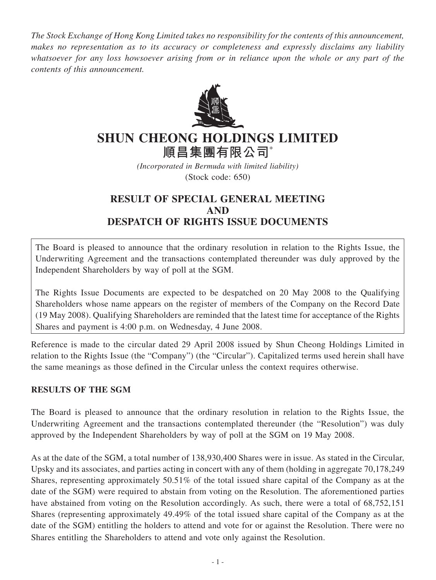*The Stock Exchange of Hong Kong Limited takes no responsibility for the contents of this announcement, makes no representation as to its accuracy or completeness and expressly disclaims any liability whatsoever for any loss howsoever arising from or in reliance upon the whole or any part of the contents of this announcement.*



## **SHUN CHEONG HOLDINGS LIMITED 順昌集團有限公司**\*

*(Incorporated in Bermuda with limited liability)* (Stock code: 650)

## **RESULT OF SPECIAL GENERAL MEETING AND DESPATCH OF RIGHTS ISSUE DOCUMENTS**

The Board is pleased to announce that the ordinary resolution in relation to the Rights Issue, the Underwriting Agreement and the transactions contemplated thereunder was duly approved by the Independent Shareholders by way of poll at the SGM.

The Rights Issue Documents are expected to be despatched on 20 May 2008 to the Qualifying Shareholders whose name appears on the register of members of the Company on the Record Date (19 May 2008). Qualifying Shareholders are reminded that the latest time for acceptance of the Rights Shares and payment is 4:00 p.m. on Wednesday, 4 June 2008.

Reference is made to the circular dated 29 April 2008 issued by Shun Cheong Holdings Limited in relation to the Rights Issue (the "Company") (the "Circular"). Capitalized terms used herein shall have the same meanings as those defined in the Circular unless the context requires otherwise.

## **RESULTS OF THE SGM**

The Board is pleased to announce that the ordinary resolution in relation to the Rights Issue, the Underwriting Agreement and the transactions contemplated thereunder (the "Resolution") was duly approved by the Independent Shareholders by way of poll at the SGM on 19 May 2008.

As at the date of the SGM, a total number of 138,930,400 Shares were in issue. As stated in the Circular, Upsky and its associates, and parties acting in concert with any of them (holding in aggregate 70,178,249 Shares, representing approximately 50.51% of the total issued share capital of the Company as at the date of the SGM) were required to abstain from voting on the Resolution. The aforementioned parties have abstained from voting on the Resolution accordingly. As such, there were a total of 68,752,151 Shares (representing approximately 49.49% of the total issued share capital of the Company as at the date of the SGM) entitling the holders to attend and vote for or against the Resolution. There were no Shares entitling the Shareholders to attend and vote only against the Resolution.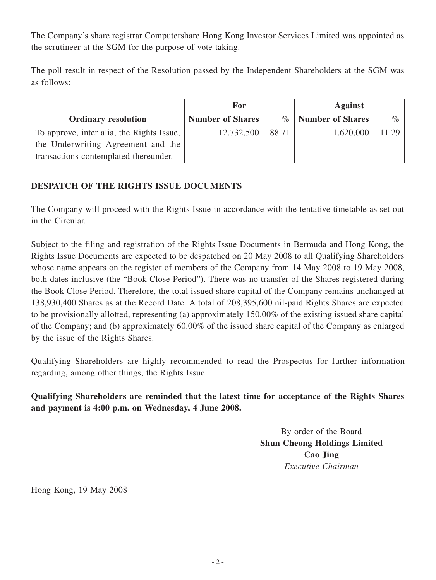The Company's share registrar Computershare Hong Kong Investor Services Limited was appointed as the scrutineer at the SGM for the purpose of vote taking.

The poll result in respect of the Resolution passed by the Independent Shareholders at the SGM was as follows:

|                                           | For                     |       | <b>Against</b>       |       |
|-------------------------------------------|-------------------------|-------|----------------------|-------|
| <b>Ordinary resolution</b>                | <b>Number of Shares</b> |       | %   Number of Shares | $\%$  |
| To approve, inter alia, the Rights Issue, | 12,732,500              | 88.71 | 1,620,000            | 11.29 |
| the Underwriting Agreement and the        |                         |       |                      |       |
| transactions contemplated thereunder.     |                         |       |                      |       |

## **DESPATCH OF THE RIGHTS ISSUE DOCUMENTS**

The Company will proceed with the Rights Issue in accordance with the tentative timetable as set out in the Circular.

Subject to the filing and registration of the Rights Issue Documents in Bermuda and Hong Kong, the Rights Issue Documents are expected to be despatched on 20 May 2008 to all Qualifying Shareholders whose name appears on the register of members of the Company from 14 May 2008 to 19 May 2008, both dates inclusive (the "Book Close Period"). There was no transfer of the Shares registered during the Book Close Period. Therefore, the total issued share capital of the Company remains unchanged at 138,930,400 Shares as at the Record Date. A total of 208,395,600 nil-paid Rights Shares are expected to be provisionally allotted, representing (a) approximately 150.00% of the existing issued share capital of the Company; and (b) approximately 60.00% of the issued share capital of the Company as enlarged by the issue of the Rights Shares.

Qualifying Shareholders are highly recommended to read the Prospectus for further information regarding, among other things, the Rights Issue.

**Qualifying Shareholders are reminded that the latest time for acceptance of the Rights Shares and payment is 4:00 p.m. on Wednesday, 4 June 2008.**

> By order of the Board **Shun Cheong Holdings Limited Cao Jing** *Executive Chairman*

Hong Kong, 19 May 2008